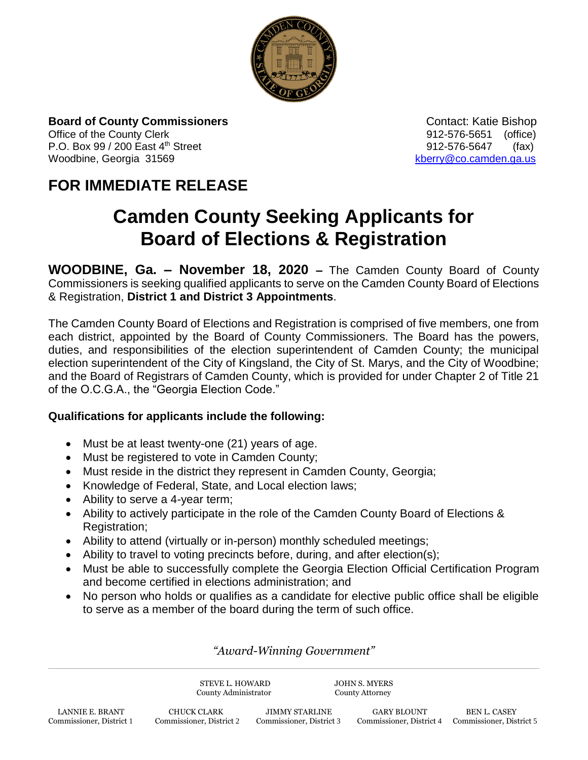

**Board of County Commissioners Contact: Katie Bishop** Contact: Katie Bishop Office of the County Clerk 61 and 2012-576-5651 (office) P.O. Box 99 / 200 East 4<sup>th</sup> Street 912-576-5647 (fax) Woodbine, Georgia 31569 [kberry@co.camden.ga.us](mailto:kberry@co.camden.ga.us)

## **FOR IMMEDIATE RELEASE**

# **Camden County Seeking Applicants for Board of Elections & Registration**

**WOODBINE, Ga. – November 18, 2020 –** The Camden County Board of County Commissioners is seeking qualified applicants to serve on the Camden County Board of Elections & Registration, **District 1 and District 3 Appointments**.

The Camden County Board of Elections and Registration is comprised of five members, one from each district, appointed by the Board of County Commissioners. The Board has the powers, duties, and responsibilities of the election superintendent of Camden County; the municipal election superintendent of the City of Kingsland, the City of St. Marys, and the City of Woodbine; and the Board of Registrars of Camden County, which is provided for under Chapter 2 of Title 21 of the O.C.G.A., the "Georgia Election Code."

#### **Qualifications for applicants include the following:**

- Must be at least twenty-one (21) years of age.
- Must be registered to vote in Camden County;
- Must reside in the district they represent in Camden County, Georgia;
- Knowledge of Federal, State, and Local election laws;
- Ability to serve a 4-year term;
- Ability to actively participate in the role of the Camden County Board of Elections & Registration;
- Ability to attend (virtually or in-person) monthly scheduled meetings;
- Ability to travel to voting precincts before, during, and after election(s);
- Must be able to successfully complete the Georgia Election Official Certification Program and become certified in elections administration; and
- No person who holds or qualifies as a candidate for elective public office shall be eligible to serve as a member of the board during the term of such office.

### *"Award-Winning Government"*

STEVE L. HOWARD JOHN S. MYERS<br>
County Administrator County Attorney County Administrator